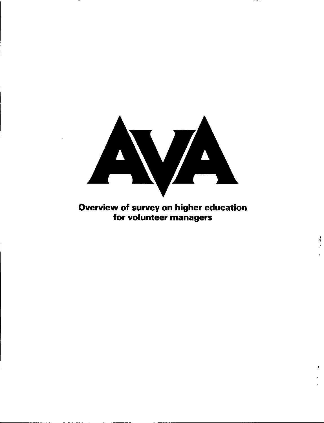

# Overview of survey on higher education for volunteer managers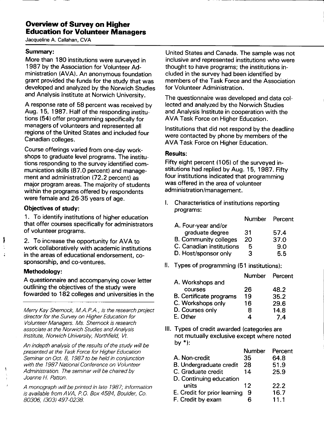# **Overview of Survey on Higher Education for Volunteer Managers**

Jacqueline A. Callahan, CVA

#### **Summary:**

More than 180 institutions were surveyed in 1987 by the Association for Volunteer Administration **(AVA).** An anonymous foundation grant provided the funds for the study that was developed and analyzed by the Norwich Studies and Analysis Institute at Norwich University.

A response rate of 58 percent was received by Aug. 15, 1987. Half of the responding institutions (54) offer programming specifically for managers of volunteers and represented all regions of the United States and included four Canadian colleges.

Course offerings varied from one-day workshops to graduate level programs. The institutions responding to the survey identified communication skills (87.0 percent) and management and administration (72.2 percent) as major program areas. The majority of students within the programs offered by respondents were female and 26-35 years of age.

#### **Objectives of study:**

1 . To identify institutions of higher education that offer courses specifically for administrators of volunteer programs.

2. To increase the opportunity for AVA to work collaboratively with academic institutions in the areas of educational endorsement, cosponsorship, and co-ventures.

#### **Methodology:**

1

A questionnaire and accompanying cover letter outlining the objectives of the study were fowarded to 182 colleges and universities in the

Merry Kay Shemock, M.A.P.A., is the research project director for the Survey on Higher Education for Volunteer Managers. Ms. Shemock is research associate at the Norwich Studies and Analysis Institute, Norwich University, Northfield, Vt.

An indepth analysis of the results of the study will be presented at the Task Force for Higher Education Seminar on Oct. 8, 1987 to be held in conjunction with the 1987 National Conference on Volunteer Administration. The seminar will be chaired by Joanne H. Patton.

A monograph will be printed in late 1987; information is available from AVA, P.O. Box 4584, Boulder, Co. 80306, (303) 497-0238

United States and Canada. The sample was not inclusive and represented institutions who were thought to have programs; the institutions included in the survey had been identified by members of the Task Force and the Association for Volunteer Administration.

The questionnaire was developed and data collected and analyzed by the Norwich Studies and Analysis Institute in cooperation with the AVA Task Force on Higher Education.

Institutions that did not respond by the deadline were contacted by phone by members of the AVA Task Force on Higher Education.

### **Results:**

Fifty eight percent (105) of the surveyed institutions had replied by Aug. 15, 1987. Fifty four institutions indicated that programming was offered in the area of volunteer administration/management.

I. Characteristics of institutions reporting programs:

|                              | <b>Number</b> | Percent |
|------------------------------|---------------|---------|
| A. Four-year and/or          |               |         |
| graduate degree              | 31            | 57.4    |
| <b>B. Community colleges</b> | 20            | 37.0    |
| C. Canadian institutions     | 5             | 9.0     |
| D. Host/sponsor only         | З             | 5.5     |
|                              |               |         |

II. Types of programming (51 institutions):

|                         | Number Percent |      |
|-------------------------|----------------|------|
| A. Workshops and        |                |      |
| courses                 | 26             | 48.2 |
| B. Certificate programs | 19             | 35.2 |
| C. Workshops only       | 16             | 29.6 |
| D. Courses only         | 8              | 14.8 |
| E. Other                |                | 74   |

Ill. Types of credit awarded (categories are not mutually exclusive except where noted by\*):

|                              | Number | Percent |
|------------------------------|--------|---------|
| A. Non-credit                | 35     | 64.8    |
| B. Undergraduate credit      | 28     | 51.9    |
| C. Graduate credit           | 14     | 25.9    |
| D. Continuing education      |        |         |
| units                        | 12     | 22.2    |
| E. Credit for prior learning | 9      | 16.7    |
| F. Credit by exam            |        | 11.1    |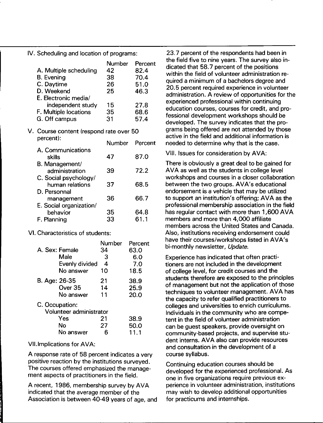IV. Scheduling and location of programs:

|                        | Number | Percent |
|------------------------|--------|---------|
| A. Multiple scheduling | 42     | 82.4    |
| <b>B.</b> Evening      | 38     | 70.4    |
| C. Daytime             | 26     | 51.0    |
| D. Weekend             | 25     | 46.3    |
| E. Electronic media/   |        |         |
| independent study      | 15     | 27.8    |
| F. Multiple locations  | 35     | 68.6    |
| G. Off campus          | 31     | 57.4    |
|                        |        |         |

# V. Course content (respond rate over 50 percent): Number Percent

|                                          | Number | rercen |
|------------------------------------------|--------|--------|
| A. Communications<br>skills              | 47     | 87.0   |
| B. Management/<br>administration         | 39     | 72.2   |
| C. Social psychology/<br>human relations | 37     | 68.5   |
| D. Personnal<br>management               | 36     | 66.7   |
| E. Social organization/<br>behavior      | 35     | 64.8   |
| F. Planning                              | 33     | 61.1   |

VI. Characteristics of students:

|                |                         | Number         | Percent |
|----------------|-------------------------|----------------|---------|
|                | A. Sex: Female          | 34             | 63.0    |
|                | Male                    | 3              | 6.0     |
|                | Evenly divided          | $\overline{4}$ | 7.0     |
|                | No answer               | 10             | 18.5    |
| B. Age: 26-35  |                         | 21             | 38.9    |
|                | Over 35                 | 14             | 25.9    |
|                | No answer               | 11             | 20.0    |
| C. Occupation: |                         |                |         |
|                | Volunteer administrator |                |         |
|                | Yes                     | 21             | 38.9    |
|                | Νo                      | 27             | 50.0    |
|                | No answer               |                | 11.1    |

#### VII. Implications for AVA:

A response rate of 58 percent indicates a very positive reaction by the institutions surveyed. The courses offered emphasized the management aspects of practitioners in the field.

A recent, 1986, membership survey by AVA indicated that the average member of the Association is between 40-49 years of age, and

23. 7 percent of the respondents had been in the field five to nine years. The survey also indicated that 58. 7 percent of the positions within the field of volunteer administration required a minimum of a bachelors degree and 20.5 percent required experience in volunteer administration. A review of opportunities for the experienced professional within continuing education courses, courses for credit, and professional development workshops should be developed. The survey indicates that the programs being offered are not attended by those active in the field and additional information is needed to determine why that is the case.

VIII. Issues for consideration by AVA:

There is obviously a great deal to be gained for AVA as well as the students in college level workshops and courses in a closer collaboration between the two groups. AVA's educational endorsement is a vehicle that may be utilized to support an institution's offering; AVA as the professional membership association in the field has regular contact with more than 1,600 AVA members and more than 4,000 affiliate members across the United States and Canada. Also, institutions receiving endorsement could have their courses/workshops listed in AVA's bi-monthly newsletter, Update.

Experience has indicated that often practitioners are not included in the development of college level, for credit courses and the students therefore are exposed to the principles of management but not the application of those techniques to volunteer management. AVA has the capacity to refer qualified practitioners to colleges and universities to enrich curriculums. Individuals in the community who are competent in the field of volunteer administration can be guest speakers, provide oversight on community-based projects, and supervise student interns. AVA also can provide resources and consultation in the development of a course syllabus.

Continuing education courses should be developed for the experienced professional. As one in five organizations require previous experience in volunteer administration, institutions may wish to develop additional opportunities for practicums and internships.